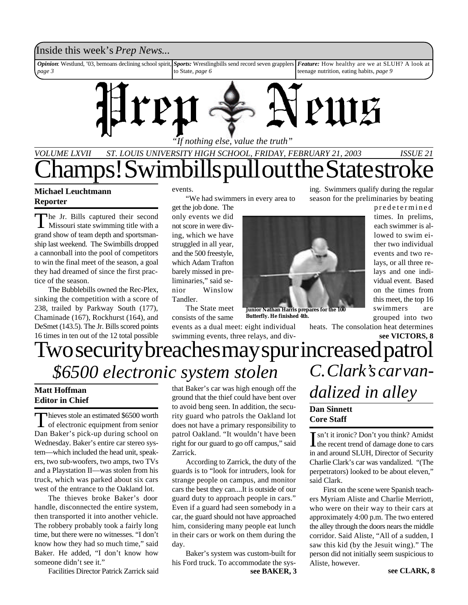### Inside this week's *Prep News*...

*Opinion*: Westlund, '03, bemoans declining school spirit, *page 3 Sports:* Wrestlingbills send record seven grapplers to State, *page 6 Feature:* How healthy are we at SLUH? A look at teenage nutrition, eating habits, *page 9*



*"If nothing else, value the truth"*

## *VOLUME LXVII ST. LOUIS UNIVERSITY HIGH SCHOOL, FRIDAY, FEBRUARY 21, 2003 ISSUE 21* Swimbills pull out the State stro

### **Michael Leuchtmann Reporter**

The Jr. Bills captured their second<br>Missouri state swimming title with a<br>grand show of team depth and sportsmanhe Jr. Bills captured their second Missouri state swimming title with a ship last weekend. The Swimbills dropped a cannonball into the pool of competitors to win the final meet of the season, a goal they had dreamed of since the first practice of the season.

The Bubblebills owned the Rec-Plex, sinking the competition with a score of 238, trailed by Parkway South (177), Chaminade (167), Rockhurst (164), and DeSmet (143.5). The Jr. Bills scored points 16 times in ten out of the 12 total possible

#### events.

"We had swimmers in every area to

get the job done. The only events we did not score in were diving, which we have struggled in all year, and the 500 freestyle, which Adam Trafton barely missed in preliminaries," said senior Winslow Tandler.

The State meet consists of the same

events as a dual meet: eight individual swimming events, three relays, and div-



**Junior Nathan Harris prepares for the 100 Butterfly. He finished 4th.**

heats. The consolation heat determines

ing. Swimmers qualify during the regular season for the preliminaries by beating

> predetermined times. In prelims, each swimmer is allowed to swim either two individual events and two relays, or all three relays and one individual event. Based on the times from this meet, the top 16 swimmers are grouped into two

## Two security breaches may spur increased patrol *\$6500 electronic system stolen C. Clark's car van***see VICTORS, 8**

#### **Matt Hoffman Editor in Chief**

Thieves stole an estimated \$6500 worth<br>of electronic equipment from senior hieves stole an estimated \$6500 worth Dan Baker's pick-up during school on Wednesday. Baker's entire car stereo system—which included the head unit, speakers, two sub-woofers, two amps, two TVs and a Playstation II—was stolen from his truck, which was parked about six cars west of the entrance to the Oakland lot.

The thieves broke Baker's door handle, disconnected the entire system, then transported it into another vehicle. The robbery probably took a fairly long time, but there were no witnesses. "I don't know how they had so much time," said Baker. He added, "I don't know how someone didn't see it."

Facilities Director Patrick Zarrick said

that Baker's car was high enough off the ground that the thief could have bent over to avoid beng seen. In addition, the security guard who patrols the Oakland lot does not have a primary responsibility to patrol Oakland. "It wouldn't have been right for our guard to go off campus," said Zarrick.

According to Zarrick, the duty of the guards is to "look for intruders, look for strange people on campus, and monitor cars the best they can....It is outside of our guard duty to approach people in cars." Even if a guard had seen somebody in a car, the guard should not have approached him, considering many people eat lunch in their cars or work on them during the day.

Baker's system was custom-built for his Ford truck. To accommodate the sys-

## *dalized in alley* **Dan Sinnett**

**Core Staff**

Isn't it ironic? Don't you think? Amidst<br>the recent trend of damage done to cars the recent trend of damage done to cars in and around SLUH, Director of Security Charlie Clark's car was vandalized. "(The perpetrators) looked to be about eleven," said Clark.

First on the scene were Spanish teachers Myriam Aliste and Charlie Merriott, who were on their way to their cars at approximately 4:00 p.m. The two entered the alley through the doors nears the middle corridor. Said Aliste, "All of a sudden, I saw this kid (by the Jesuit wing)." The person did not initially seem suspicious to Aliste, however.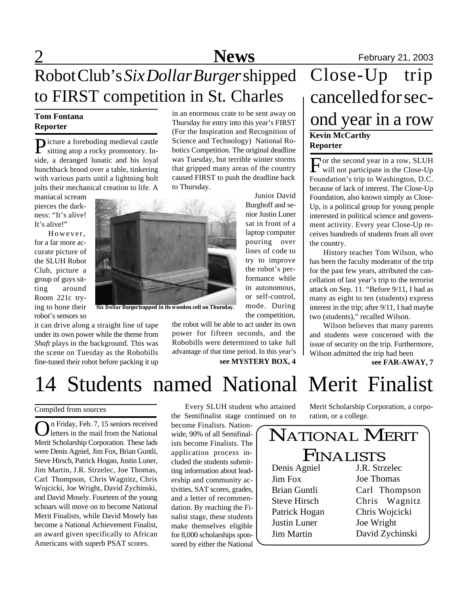# **Tom Fontana**

P icture a foreboding medieval castle sitting atop a rocky promontory. Inside, a deranged lunatic and his loyal hunchback brood over a table, tinkering with various parts until a lightning bolt jolts their mechanical creation to life. A

maniacal scream pierces the darkness: "It's alive! It's alive!"

However, for a far more accurate picture of the SLUH Robot Club, picture a group of guys sitting around Room 221c trying to hone their robot's sensors so

it can drive along a straight line of tape under its own power while the theme from *Shaft* plays in the background. This was the scene on Tuesday as the Robobills fine-tuned their robot before packing it up

**Tom Fontana** In an enormous crate to be sent away on<br>Reporter Thursday for entry into this year's FIRST Ond year in a row in an enormous crate to be sent away on Thursday for entry into this year's FIRST (For the Inspiration and Recognition of Science and Technology) National Robotics Competition. The original deadline was Tuesday, but terrible winter storms that gripped many areas of the country caused FIRST to push the deadline back to Thursday.

Junior David Burghoff and senior Justin Luner sat in front of a laptop computer pouring over lines of code to try to improve the robot's performance while in autonomous, or self-control, mode. During the competition,

the robot will be able to act under its own power for fifteen seconds, and the Robobills were determined to take full advantage of that time period. In this year's **see MYSTERY BOX, 4 see FAR-AWAY, 7** 

**Kevin McCarthy Reporter** Close-Up trip cancelled for sec-

For the second year in a row, SLUH<br>will not participate in the Close-Up will not participate in the Close-Up Foundation's trip to Washington, D.C. because of lack of interest. The Close-Up Foundation, also known simply as Close-Up, is a political group for young people interested in political science and government activity. Every year Close-Up receives hundreds of students from all over the country.

History teacher Tom Wilson, who has been the faculty moderator of the trip for the past few years, attributed the cancellation of last year's trip to the terrorist attack on Sep. 11. "Before 9/11, I had as many as eight to ten (students) express interest in the trip; after 9/11, I had maybe two (students)," recalled Wilson.

Wilson believes that many parents and students were concerned with the issue of security on the trip. Furthermore, Wilson admitted the trip had been

14 Students named National Merit Finalist

Compiled from sources

On Friday, Feb. 7, 15 seniors received<br>letters in the mail from the National letters in the mail from the National Merit Scholarship Corporation. These lads were Denis Agniel, Jim Fox, Brian Guntli, Steve Hirsch, Patrick Hogan, Justin Luner, Jim Martin, J.R. Strzelec, Joe Thomas, Carl Thompson, Chris Wagnitz, Chris Wojcicki, Joe Wright, David Zychinski, and David Mosely. Fourteen of the young schoars will move on to become National Merit Finalists, while David Mosely has become a National Achievement Finalist, an award given specifically to African Americans with superb PSAT scores.

Every SLUH student who attained the Semifinalist stage continued on to

become Finalists. Nationwide, 90% of all Semifinalists become Finalists. The application process included the students submitting information about leadership and community activities, SAT scores, grades, and a letter of recommendation. By reaching the Finalist stage, these students make themselves eligible for 8,000 scholarships sponsored by either the National

Merit Scholarship Corporation, a corporation, or a college.

#### Denis Agniel Jim Fox Brian Guntli Steve Hirsch Patrick Hogan Justin Luner Jim Martin NATIONAL MERIT FINALISTS J.R. Strzelec Joe Thomas Carl Thompson Chris Wagnitz Chris Wojcicki Joe Wright David Zychinski

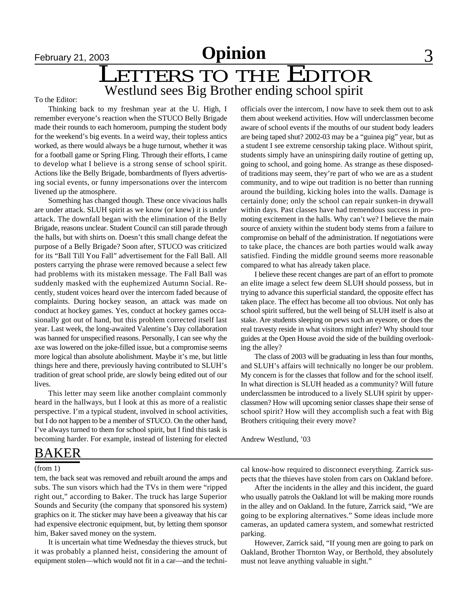## Westlund sees Big Brother ending school spirit LETTERS TO THE EDITOR

To the Editor:

Thinking back to my freshman year at the U. High, I remember everyone's reaction when the STUCO Belly Brigade made their rounds to each homeroom, pumping the student body for the weekend's big events. In a weird way, their topless antics worked, as there would always be a huge turnout, whether it was for a football game or Spring Fling. Through their efforts, I came to develop what I believe is a strong sense of school spirit. Actions like the Belly Brigade, bombardments of flyers advertising social events, or funny impersonations over the intercom livened up the atmosphere.

Something has changed though. These once vivacious halls are under attack. SLUH spirit as we know (or knew) it is under attack. The downfall began with the elimination of the Belly Brigade, reasons unclear. Student Council can still parade through the halls, but with shirts on. Doesn't this small change defeat the purpose of a Belly Brigade? Soon after, STUCO was criticized for its "Ball Till You Fall" advertisement for the Fall Ball. All posters carrying the phrase were removed because a select few had problems with its mistaken message. The Fall Ball was suddenly masked with the euphemized Autumn Social. Recently, student voices heard over the intercom faded because of complaints. During hockey season, an attack was made on conduct at hockey games. Yes, conduct at hockey games occasionally got out of hand, but this problem corrected itself last year. Last week, the long-awaited Valentine's Day collaboration was banned for unspecified reasons. Personally, I can see why the axe was lowered on the joke-filled issue, but a compromise seems more logical than absolute abolishment. Maybe it's me, but little things here and there, previously having contributed to SLUH's tradition of great school pride, are slowly being edited out of our lives.

This letter may seem like another complaint commonly heard in the hallways, but I look at this as more of a realistic perspective. I'm a typical student, involved in school activities, but I do not happen to be a member of STUCO. On the other hand, I've always turned to them for school spirit, but I find this task is becoming harder. For example, instead of listening for elected officials over the intercom, I now have to seek them out to ask them about weekend activities. How will underclassmen become aware of school events if the mouths of our student body leaders are being taped shut? 2002-03 may be a "guinea pig" year, but as a student I see extreme censorship taking place. Without spirit, students simply have an uninspiring daily routine of getting up, going to school, and going home. As strange as these disposedof traditions may seem, they're part of who we are as a student community, and to wipe out tradition is no better than running around the building, kicking holes into the walls. Damage is certainly done; only the school can repair sunken-in drywall within days. Past classes have had tremendous success in promoting excitement in the halls. Why can't we? I believe the main source of anxiety within the student body stems from a failure to compromise on behalf of the administration. If negotiations were to take place, the chances are both parties would walk away satisfied. Finding the middle ground seems more reasonable compared to what has already taken place.

I believe these recent changes are part of an effort to promote an elite image a select few deem SLUH should possess, but in trying to advance this superficial standard, the opposite effect has taken place. The effect has become all too obvious. Not only has school spirit suffered, but the well being of SLUH itself is also at stake. Are students sleeping on pews such an eyesore, or does the real travesty reside in what visitors might infer? Why should tour guides at the Open House avoid the side of the building overlooking the alley?

The class of 2003 will be graduating in less than four months, and SLUH's affairs will technically no longer be our problem. My concern is for the classes that follow and for the school itself. In what direction is SLUH headed as a community? Will future underclassmen be introduced to a lively SLUH spirit by upperclassmen? How will upcoming senior classes shape their sense of school spirit? How will they accomplish such a feat with Big Brothers critiquing their every move?

Andrew Westlund, '03

## BAKER

(from 1)

tem, the back seat was removed and rebuilt around the amps and subs. The sun visors which had the TVs in them were "ripped right out," according to Baker. The truck has large Superior Sounds and Security (the company that sponsored his system) graphics on it. The sticker may have been a giveaway that his car had expensive electronic equipment, but, by letting them sponsor him, Baker saved money on the system.

It is uncertain what time Wednesday the thieves struck, but it was probably a planned heist, considering the amount of equipment stolen—which would not fit in a car—and the technical know-how required to disconnect everything. Zarrick suspects that the thieves have stolen from cars on Oakland before.

After the incidents in the alley and this incident, the guard who usually patrols the Oakland lot will be making more rounds in the alley and on Oakland. In the future, Zarrick said, "We are going to be exploring alternatives." Some ideas include more cameras, an updated camera system, and somewhat restricted parking.

However, Zarrick said, "If young men are going to park on Oakland, Brother Thornton Way, or Berthold, they absolutely must not leave anything valuable in sight."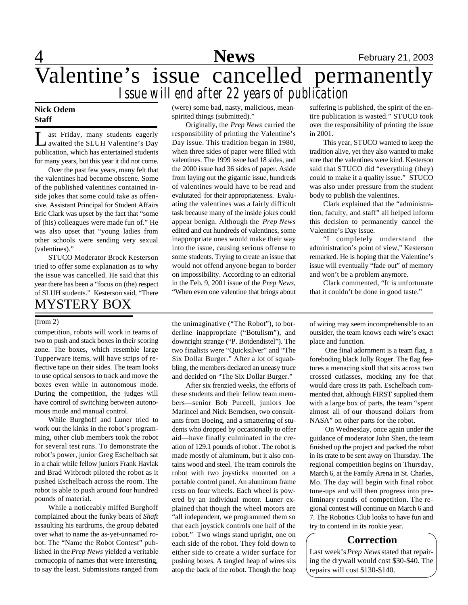

## 4 **News** February 21, 2003 Valentine's issue cancelled permanently *Issue will end after 22 years of publication*

### **Nick Odem Staff**

L ast Friday, many students eagerly<br>awaited the SLUH Valentine's Day<br>publication, which has entertained students ast Friday, many students eagerly awaited the SLUH Valentine's Day for many years, but this year it did not come.

Over the past few years, many felt that the valentines had become obscene. Some of the published valentines contained inside jokes that some could take as offensive. Assistant Principal for Student Affairs Eric Clark was upset by the fact that "some of (his) colleagues were made fun of." He was also upset that "young ladies from other schools were sending very sexual (valentines)."

STUCO Moderator Brock Kesterson tried to offer some explanation as to why the issue was cancelled. He said that this year there has been a "focus on (the) respect of SLUH students." Kesterson said, "There MYSTERY BOX

competition, robots will work in teams of two to push and stack boxes in their scoring zone. The boxes, which resemble large Tupperware items, will have strips of reflective tape on their sides. The team looks to use optical sensors to track and move the boxes even while in autonomous mode. During the competition, the judges will have control of switching between autonomous mode and manual control.

While Burghoff and Luner tried to work out the kinks in the robot's programming, other club members took the robot for several test runs. To demonstrate the robot's power, junior Greg Eschelbach sat in a chair while fellow juniors Frank Havlak and Brad Witbrodt piloted the robot as it pushed Eschelbach across the room. The robot is able to push around four hundred pounds of material.

While a noticeably miffed Burghoff complained about the funky beats of *Shaft* assaulting his eardrums, the group debated over what to name the as-yet-unnamed robot. The "Name the Robot Contest" published in the *Prep News* yielded a veritable cornucopia of names that were interesting, to say the least. Submissions ranged from

(were) some bad, nasty, malicious, meanspirited things (submitted)."

Originally, the *Prep News* carried the responsibility of printing the Valentine's Day issue. This tradition began in 1980, when three sides of paper were filled with valentines. The 1999 issue had 18 sides, and the 2000 issue had 36 sides of paper. Aside from laying out the gigantic issue, hundreds of valentines would have to be read and evalutated for their appropriateness. Evaluating the valentines was a fairly difficult task because many of the inside jokes could appear benign. Although the *Prep News* edited and cut hundreds of valentines, some inappropriate ones would make their way into the issue, causing serious offense to some students. Trying to create an issue that would not offend anyone began to border on impossibility. According to an editorial in the Feb. 9, 2001 issue of the *Prep News*, "When even one valentine that brings about

(from 2) the unimaginative ("The Robot"), to borderline inappropriate ("Botulism"), and downright strange ("P. Botdendistel"). The two finalists were "Quicksilver" and "The Six Dollar Burger." After a lot of squabbling, the members declared an uneasy truce and decided on "The Six Dollar Burger."

> After six frenzied weeks, the efforts of these students and their fellow team members—senior Bob Purcell, juniors Joe Marincel and Nick Berndsen, two consultants from Boeing, and a smattering of students who dropped by occasionally to offer aid—have finally culminated in the creation of 129.1 pounds of robot . The robot is made mostly of aluminum, but it also contains wood and steel. The team controls the robot with two joysticks mounted on a portable control panel. An aluminum frame rests on four wheels. Each wheel is powered by an individual motor. Luner explained that though the wheel motors are "all independent, we programmed them so that each joystick controls one half of the robot." Two wings stand upright, one on each side of the robot. They fold down to either side to create a wider surface for pushing boxes. A tangled heap of wires sits atop the back of the robot. Though the heap

suffering is published, the spirit of the entire publication is wasted." STUCO took over the responsibility of printing the issue in 2001.

This year, STUCO wanted to keep the tradition alive, yet they also wanted to make sure that the valentines were kind. Kesterson said that STUCO did "everything (they) could to make it a quality issue." STUCO was also under pressure from the student body to publish the valentines.

Clark explained that the "administration, faculty, and staff" all helped inform this decision to permanently cancel the Valentine's Day issue.

"I completely understand the administration's point of view," Kesterson remarked. He is hoping that the Valentine's issue will eventually "fade out" of memory and won't be a problem anymore.

Clark commented, "It is unfortunate that it couldn't be done in good taste."

of wiring may seem incomprehensible to an outsider, the team knows each wire's exact place and function.

 One final adornment is a team flag, a foreboding black Jolly Roger. The flag features a menacing skull that sits across two crossed cutlasses, mocking any foe that would dare cross its path. Eschelbach commented that, although FIRST supplied them with a large box of parts, the team "spent almost all of our thousand dollars from NASA" on other parts for the robot.

 On Wednesday, once again under the guidance of moderator John Shen, the team finished up the project and packed the robot in its crate to be sent away on Thursday. The regional competition begins on Thursday, March 6, at the Family Arena in St. Charles, Mo. The day will begin with final robot tune-ups and will then progress into preliminary rounds of competition. The regional contest will continue on March 6 and 7. The Robotics Club looks to have fun and try to contend in its rookie year.

#### **Correction**

Last week's *Prep News* stated that repairing the drywall would cost \$30-\$40. The repairs will cost \$130-\$140.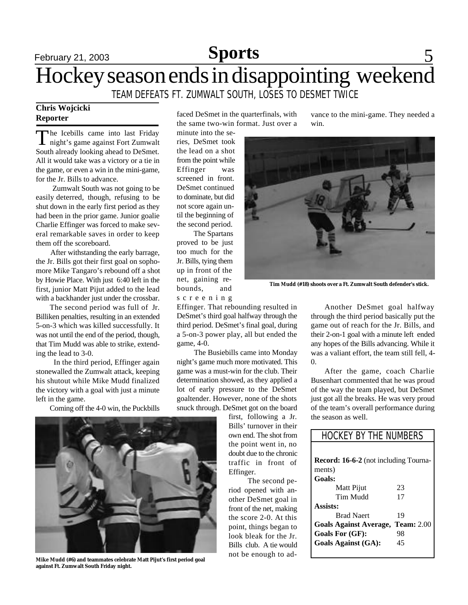## **February 21, 2003 Sports** 5 Hockey season ends in disappointing weekend TEAM DEFEATS FT. ZUMWALT SOUTH, LOSES TO DESMET TWICE

### **Chris Wojcicki Reporter**

The Icebills came into last Friday<br>night's game against Fort Zumwalt he Icebills came into last Friday South already looking ahead to DeSmet. All it would take was a victory or a tie in the game, or even a win in the mini-game, for the Jr. Bills to advance.

 Zumwalt South was not going to be easily deterred, though, refusing to be shut down in the early first period as they had been in the prior game. Junior goalie Charlie Effinger was forced to make several remarkable saves in order to keep them off the scoreboard.

 After withstanding the early barrage, the Jr. Bills got their first goal on sophomore Mike Tangaro's rebound off a shot by Howie Place. With just 6:40 left in the first, junior Matt Pijut added to the lead with a backhander just under the crossbar.

 The second period was full of Jr. Billiken penalties, resulting in an extended 5-on-3 which was killed successfully. It was not until the end of the period, though, that Tim Mudd was able to strike, extending the lead to 3-0.

 In the third period, Effinger again stonewalled the Zumwalt attack, keeping his shutout while Mike Mudd finalized the victory with a goal with just a minute left in the game.

Coming off the 4-0 win, the Puckbills



**Mike Mudd (#6) and teammates celebrate Matt Pijut's first period goal against Ft. Zumwalt South Friday night.**

faced DeSmet in the quarterfinals, with the same two-win format. Just over a

minute into the series, DeSmet took the lead on a shot from the point while Effinger was screened in front. DeSmet continued to dominate, but did not score again until the beginning of the second period.

 The Spartans proved to be just too much for the Jr. Bills, tying them up in front of the net, gaining rebounds, and s c r e e n i n g

Effinger. That rebounding resulted in DeSmet's third goal halfway through the third period. DeSmet's final goal, during a 5-on-3 power play, all but ended the game, 4-0.

 The Busiebills came into Monday night's game much more motivated. This game was a must-win for the club. Their determination showed, as they applied a lot of early pressure to the DeSmet goaltender. However, none of the shots snuck through. DeSmet got on the board

first, following a Jr. Bills' turnover in their own end. The shot from the point went in, no doubt due to the chronic traffic in front of Effinger.

 The second period opened with another DeSmet goal in front of the net, making the score 2-0. At this point, things began to look bleak for the Jr. Bills club. A tie would not be enough to advance to the mini-game. They needed a win.



**Tim Mudd (#18) shoots over a Ft. Zumwalt South defender's stick.**

Another DeSmet goal halfway through the third period basically put the game out of reach for the Jr. Bills, and their 2-on-1 goal with a minute left ended any hopes of the Bills advancing. While it was a valiant effort, the team still fell, 4-  $\Omega$ 

After the game, coach Charlie Busenhart commented that he was proud of the way the team played, but DeSmet just got all the breaks. He was very proud of the team's overall performance during the season as well.

| <b>HOCKEY BY THE NUMBERS</b>                 |                   |
|----------------------------------------------|-------------------|
|                                              |                   |
| <b>Record: 16-6-2</b> (not including Tourna- |                   |
| ments)                                       |                   |
| <b>Goals:</b>                                |                   |
| Matt Pijut                                   | 23                |
| Tim Mudd                                     | 17                |
| Assists:                                     |                   |
| <b>Brad Naert</b>                            | 19                |
| <b>Goals Against Average,</b>                | <b>Team:</b> 2.00 |
| Goals For (GF):                              | 98                |
| <b>Goals Against (GA):</b>                   | 45                |
|                                              |                   |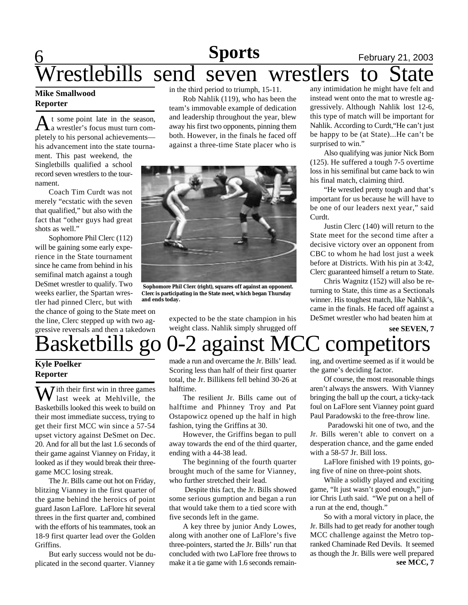### **6 Sports** February 21, 2003 **Sports**

# restlebills send seven wrestlers to

### **Mike Smallwood Reporter**

A t some point late in the season,<br>A a wrestler's focus must turn comt some point late in the season, pletely to his personal achievements his advancement into the state tourna-

ment. This past weekend, the Singletbills qualified a school record seven wrestlers to the tournament.

Coach Tim Curdt was not merely "ecstatic with the seven that qualified," but also with the fact that "other guys had great shots as well."

Sophomore Phil Clerc (112) will be gaining some early experience in the State tournament since he came from behind in his semifinal match against a tough DeSmet wrestler to qualify. Two weeks earlier, the Spartan wrestler had pinned Clerc, but with

the chance of going to the State meet on the line, Clerc stepped up with two aggressive reversals and then a takedown in the third period to triumph, 15-11.

Rob Nahlik (119), who has been the team's immovable example of dedication and leadership throughout the year, blew away his first two opponents, pinning them both. However, in the finals he faced off against a three-time State placer who is



 **Sophomore Phil Clerc (right), squares off against an opponent. Clerc is participating in the State meet, which began Thursday and ends today.**

expected to be the state champion in his weight class. Nahlik simply shrugged off any intimidation he might have felt and instead went onto the mat to wrestle aggressively. Although Nahlik lost 12-6, this type of match will be important for Nahlik. According to Curdt,"He can't just be happy to be (at State)...He can't be surprised to win."

Also qualifying was junior Nick Born (125). He suffered a tough 7-5 overtime loss in his semifinal but came back to win his final match, claiming third.

"He wrestled pretty tough and that's important for us because he will have to be one of our leaders next year," said Curdt.

Justin Clerc (140) will return to the State meet for the second time after a decisive victory over an opponent from CBC to whom he had lost just a week before at Districts. With his pin at 3:42, Clerc guaranteed himself a return to State.

Chris Wagnitz (152) will also be returning to State, this time as a Sectionals winner. His toughest match, like Nahlik's, came in the finals. He faced off against a DeSmet wrestler who had beaten him at

**see SEVEN, 7**

# Basketbills go 0-2 against MCC competitors

### **Kyle Poelker Reporter**

 $\overline{J}$  ith their first win in three games last week at Mehlville, the Basketbills looked this week to build on their most immediate success, trying to get their first MCC win since a 57-54 upset victory against DeSmet on Dec. 20. And for all but the last 1.6 seconds of their game against Vianney on Friday, it looked as if they would break their threegame MCC losing streak.

The Jr. Bills came out hot on Friday, blitzing Vianney in the first quarter of the game behind the heroics of point guard Jason LaFlore. LaFlore hit several threes in the first quarter and, combined with the efforts of his teammates, took an 18-9 first quarter lead over the Golden Griffins.

But early success would not be duplicated in the second quarter. Vianney

made a run and overcame the Jr. Bills' lead. Scoring less than half of their first quarter total, the Jr. Billikens fell behind 30-26 at halftime.

The resilient Jr. Bills came out of halftime and Phinney Troy and Pat Ostapowicz opened up the half in high fashion, tying the Griffins at 30.

However, the Griffins began to pull away towards the end of the third quarter, ending with a 44-38 lead.

The beginning of the fourth quarter brought much of the same for Vianney, who further stretched their lead.

 Despite this fact, the Jr. Bills showed some serious gumption and began a run that would take them to a tied score with five seconds left in the game.

A key three by junior Andy Lowes, along with another one of LaFlore's five three-pointers, started the Jr. Bills' run that concluded with two LaFlore free throws to make it a tie game with 1.6 seconds remaining, and overtime seemed as if it would be the game's deciding factor.

Of course, the most reasonable things aren't always the answers. With Vianney bringing the ball up the court, a ticky-tack foul on LaFlore sent Vianney point guard Paul Paradowski to the free-throw line.

 Paradowski hit one of two, and the Jr. Bills weren't able to convert on a desperation chance, and the game ended with a 58-57 Jr. Bill loss.

LaFlore finished with 19 points, going five of nine on three-point shots.

While a solidly played and exciting game, "It just wasn't good enough," junior Chris Luth said. "We put on a hell of a run at the end, though."

So with a moral victory in place, the Jr. Bills had to get ready for another tough MCC challenge against the Metro topranked Chaminade Red Devils. It seemed as though the Jr. Bills were well prepared **see MCC, 7**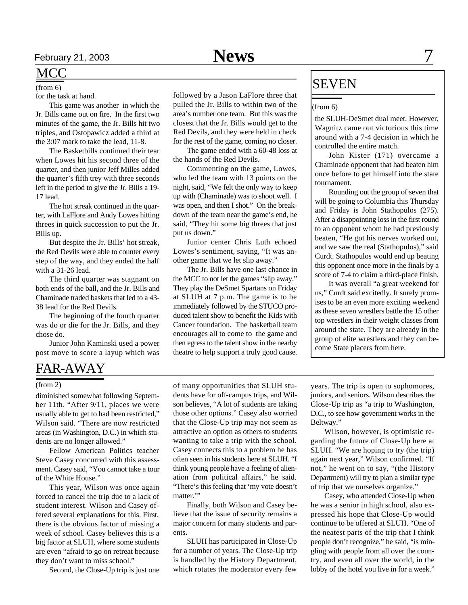for the task at hand.

This game was another in which the Jr. Bills came out on fire. In the first two minutes of the game, the Jr. Bills hit two triples, and Ostopawicz added a third at the 3:07 mark to take the lead, 11-8.

The Basketbills continued their tear when Lowes hit his second three of the quarter, and then junior Jeff Milles added the quarter's fifth trey with three seconds left in the period to give the Jr. Bills a 19- 17 lead.

The hot streak continued in the quarter, with LaFlore and Andy Lowes hitting threes in quick succession to put the Jr. Bills up.

But despite the Jr. Bills' hot streak, the Red Devils were able to counter every step of the way, and they ended the half with a 31-26 lead.

The third quarter was stagnant on both ends of the ball, and the Jr. Bills and Chaminade traded baskets that led to a 43- 38 lead for the Red Devils.

The beginning of the fourth quarter was do or die for the Jr. Bills, and they chose do.

Junior John Kaminski used a power post move to score a layup which was

## FAR-AWAY

#### (from 2)

diminished somewhat following September 11th. "After 9/11, places we were usually able to get to had been restricted," Wilson said. "There are now restricted areas (in Washington, D.C.) in which students are no longer allowed."

Fellow American Politics teacher Steve Casey concurred with this assessment. Casey said, "You cannot take a tour of the White House."

This year, Wilson was once again forced to cancel the trip due to a lack of student interest. Wilson and Casey offered several explanations for this. First, there is the obvious factor of missing a week of school. Casey believes this is a big factor at SLUH, where some students are even "afraid to go on retreat because they don't want to miss school."

Second, the Close-Up trip is just one

followed by a Jason LaFlore three that pulled the Jr. Bills to within two of the area's number one team. But this was the closest that the Jr. Bills would get to the Red Devils, and they were held in check for the rest of the game, coming no closer.

The game ended with a 60-48 loss at the hands of the Red Devils.

Commenting on the game, Lowes, who led the team with 13 points on the night, said, "We felt the only way to keep up with (Chaminade) was to shoot well. I was open, and then I shot." On the breakdown of the team near the game's end, he said, "They hit some big threes that just put us down."

Junior center Chris Luth echoed Lowes's sentiment, saying, "It was another game that we let slip away."

The Jr. Bills have one last chance in the MCC to not let the games "slip away." They play the DeSmet Spartans on Friday at SLUH at 7 p.m. The game is to be immediately followed by the STUCO produced talent show to benefit the Kids with Cancer foundation. The basketball team encourages all to come to the game and then egress to the talent show in the nearby theatre to help support a truly good cause.

## $\overline{\text{SEVEN}}$

#### (from 6)

the SLUH-DeSmet dual meet. However, Wagnitz came out victorious this time around with a 7-4 decision in which he controlled the entire match.

John Kister (171) overcame a Chaminade opponent that had beaten him once before to get himself into the state tournament.

Rounding out the group of seven that will be going to Columbia this Thursday and Friday is John Stathopulos (275). After a disappointing loss in the first round to an opponent whom he had previously beaten, "He got his nerves worked out, and we saw the real (Stathopulos)," said Curdt. Stathopulos would end up beating this opponent once more in the finals by a score of 7-4 to claim a third-place finish.

It was overall "a great weekend for us," Curdt said excitedly. It surely promises to be an even more exciting weekend as these seven wrestlers battle the 15 other top wrestlers in their weight classes from around the state. They are already in the group of elite wrestlers and they can become State placers from here.

of many opportunities that SLUH students have for off-campus trips, and Wilson believes, "A lot of students are taking those other options." Casey also worried that the Close-Up trip may not seem as attractive an option as others to students wanting to take a trip with the school. Casey connects this to a problem he has often seen in his students here at SLUH. "I think young people have a feeling of alienation from political affairs," he said. "There's this feeling that 'my vote doesn't matter."

Finally, both Wilson and Casey believe that the issue of security remains a major concern for many students and parents.

SLUH has participated in Close-Up for a number of years. The Close-Up trip is handled by the History Department, which rotates the moderator every few

years. The trip is open to sophomores, juniors, and seniors. Wilson describes the Close-Up trip as "a trip to Washington, D.C., to see how government works in the Beltway."

Wilson, however, is optimistic regarding the future of Close-Up here at SLUH. "We are hoping to try (the trip) again next year," Wilson confirmed. "If not," he went on to say, "(the History Department) will try to plan a similar type of trip that we ourselves organize."

Casey, who attended Close-Up when he was a senior in high school, also expressed his hope that Close-Up would continue to be offered at SLUH. "One of the neatest parts of the trip that I think people don't recognize," he said, "is mingling with people from all over the country, and even all over the world, in the lobby of the hotel you live in for a week."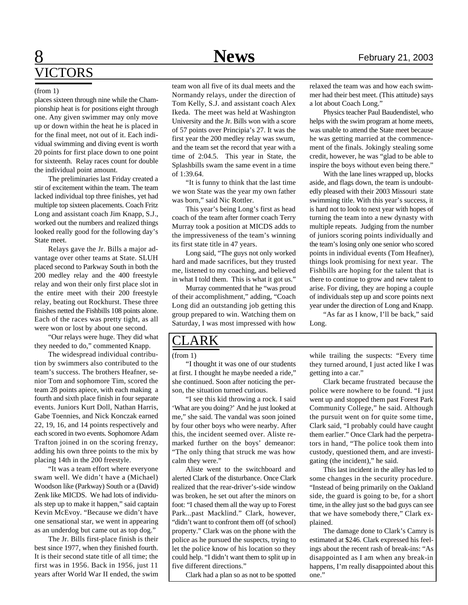## 8 **News** February 21, 2003 VICTORS

#### (from 1)

places sixteen through nine while the Championship heat is for positions eight through one. Any given swimmer may only move up or down within the heat he is placed in for the final meet, not out of it. Each individual swimming and diving event is worth 20 points for first place down to one point for sixteenth. Relay races count for double the individual point amount.

The preliminaries last Friday created a stir of excitement within the team. The team lacked individual top three finishes, yet had multiple top sixteen placements. Coach Fritz Long and assistant coach Jim Knapp, S.J., worked out the numbers and realized things looked really good for the following day's State meet.

Relays gave the Jr. Bills a major advantage over other teams at State. SLUH placed second to Parkway South in both the 200 medley relay and the 400 freestyle relay and won their only first place slot in the entire meet with their 200 freestyle relay, beating out Rockhurst. These three finishes netted the Fishbills 108 points alone. Each of the races was pretty tight, as all were won or lost by about one second.

"Our relays were huge. They did what they needed to do," commented Knapp.

The widespread individual contribution by swimmers also contributed to the team's success. The brothers Heafner, senior Tom and sophomore Tim, scored the team 28 points apiece, with each making a fourth and sixth place finish in four separate events. Juniors Kurt Doll, Nathan Harris, Gabe Toennies, and Nick Konczak earned 22, 19, 16, and 14 points respectively and each scored in two events. Sophomore Adam Trafton joined in on the scoring frenzy, adding his own three points to the mix by placing 14th in the 200 freestyle.

"It was a team effort where everyone swam well. We didn't have a (Michael) Woodson like (Parkway) South or a (David) Zenk like MICDS. We had lots of individuals step up to make it happen," said captain Kevin McEvoy. "Because we didn't have one sensational star, we went in appearing as an underdog but came out as top dog."

The Jr. Bills first-place finish is their best since 1977, when they finished fourth. It is their second state title of all time; the first was in 1956. Back in 1956, just 11 years after World War II ended, the swim team won all five of its dual meets and the Normandy relays, under the direction of Tom Kelly, S.J. and assistant coach Alex Ikeda. The meet was held at Washington University and the Jr. Bills won with a score of 57 points over Principia's 27. It was the first year the 200 medley relay was swum, and the team set the record that year with a time of 2:04.5. This year in State, the Splashbills swam the same event in a time of 1:39.64.

"It is funny to think that the last time we won State was the year my own father was born," said Nic Rottler.

This year's being Long's first as head coach of the team after former coach Terry Murray took a position at MICDS adds to the impressiveness of the team's winning its first state title in 47 years.

Long said, "The guys not only worked hard and made sacrifices, but they trusted me, listened to my coaching, and believed in what I told them. This is what it got us."

Murray commented that he "was proud of their accomplishment," adding, "Coach Long did an outstanding job getting this group prepared to win. Watching them on Saturday, I was most impressed with how

## ARK

"I thought it was one of our students at first. I thought he maybe needed a ride," she continued. Soon after noticing the person, the situation turned curious.

"I see this kid throwing a rock. I said 'What are you doing?' And he just looked at me," she said. The vandal was soon joined by four other boys who were nearby. After this, the incident seemed over. Aliste remarked further on the boys' demeanor: "The only thing that struck me was how calm they were."

Aliste went to the switchboard and alerted Clark of the disturbance. Once Clark realized that the rear-driver's-side window was broken, he set out after the minors on foot: "I chased them all the way up to Forest Park...past Macklind." Clark, however, "didn't want to confront them off (of school) property." Clark was on the phone with the police as he pursued the suspects, trying to let the police know of his location so they could help. "I didn't want them to split up in five different directions."

Clark had a plan so as not to be spotted

relaxed the team was and how each swimmer had their best meet. (This attitude) says a lot about Coach Long."

Physics teacher Paul Baudendistel, who helps with the swim program at home meets, was unable to attend the State meet because he was getting married at the commencement of the finals. Jokingly stealing some credit, however, he was "glad to be able to inspire the boys without even being there."

With the lane lines wrapped up, blocks aside, and flags down, the team is undoubtedly pleased with their 2003 Missouri state swimming title. With this year's success, it is hard not to look to next year with hopes of turning the team into a new dynasty with multiple repeats. Judging from the number of juniors scoring points individually and the team's losing only one senior who scored points in individual events (Tom Heafner), things look promising for next year. The Fishbills are hoping for the talent that is there to continue to grow and new talent to arise. For diving, they are hoping a couple of individuals step up and score points next year under the direction of Long and Knapp. "As far as I know, I'll be back," said

Long.

(from 1) while trailing the suspects: "Every time they turned around, I just acted like I was getting into a car."

> Clark became frustrated because the police were nowhere to be found. "I just went up and stopped them past Forest Park Community College," he said. Although the pursuit went on for quite some time, Clark said, "I probably could have caught them earlier." Once Clark had the perpetrators in hand, "The police took them into custody, questioned them, and are investigating (the incident)," he said.

> This last incident in the alley has led to some changes in the security procedure. "Instead of being primarily on the Oakland side, the guard is going to be, for a short time, in the alley just so the bad guys can see that we have somebody there," Clark explained.

> The damage done to Clark's Camry is estimated at \$246. Clark expressed his feelings about the recent rash of break-ins: "As disappointed as I am when any break-in happens, I'm really disappointed about this one."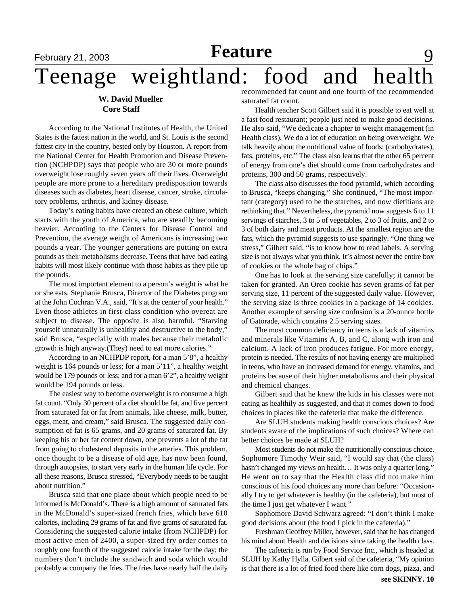# **February 21, 2003 Feature** 9

# Teenage weightland: food and health

#### **W. David Mueller Core Staff**

According to the National Institutes of Health, the United States is the fattest nation in the world, and St. Louis is the second fattest city in the country, bested only by Houston. A report from the National Center for Health Promotion and Disease Prevention (NCHPDP) says that people who are 30 or more pounds overweight lose roughly seven years off their lives. Overweight people are more prone to a hereditary predisposition towards diseases such as diabetes, heart disease, cancer, stroke, circulatory problems, arthritis, and kidney disease.

Today's eating habits have created an obese culture, which starts with the youth of America, who are steadily becoming heavier. According to the Centers for Disease Control and Prevention, the average weight of Americans is increasing two pounds a year. The younger generations are putting on extra pounds as their metabolisms decrease. Teens that have bad eating habits will most likely continue with those habits as they pile up the pounds.

The most important element to a person's weight is what he or she eats. Stephanie Brusca, Director of the Diabetes program at the John Cochran V.A., said, "It's at the center of your health." Even those athletes in first-class condition who overeat are subject to disease. The opposite is also harmful. "Starving yourself unnaturally is unhealthy and destructive to the body," said Brusca, "especially with males because their metabolic growth is high anyway.(They) need to eat more calories."

According to an NCHPDP report, for a man 5'8", a healthy weight is 164 pounds or less; for a man 5'11", a healthy weight would be 179 pounds or less; and for a man 6'2", a healthy weight would be 194 pounds or less.

The easiest way to become overweight is to consume a high fat count. "Only 30 percent of a diet should be fat, and five percent from saturated fat or fat from animals, like cheese, milk, butter, eggs, meat, and cream," said Brusca. The suggested daily consumption of fat is 65 grams, and 20 grams of saturated fat. By keeping his or her fat content down, one prevents a lot of the fat from going to cholesterol deposits in the arteries. This problem, once thought to be a disease of old age, has now been found, through autopsies, to start very early in the human life cycle. For all these reasons, Brusca stressed, "Everybody needs to be taught about nutrition."

Brusca said that one place about which people need to be informed is McDonald's. There is a high amount of saturated fats in the McDonald's super-sized french fries, which have 610 calories, including 29 grams of fat and five grams of saturated fat. Considering the suggested calorie intake (from NCHPDP) for most active men of 2400, a super-sized fry order comes to roughly one fourth of the suggested calorie intake for the day; the numbers don't include the sandwich and soda which would probably accompany the fries. The fries have nearly half the daily recommended fat count and one fourth of the recommended saturated fat count.

Health teacher Scott Gilbert said it is possible to eat well at a fast food restaurant; people just need to make good decisions. He also said, "We dedicate a chapter to weight management (in Health class). We do a lot of education on being overweight. We talk heavily about the nutritional value of foods: (carbohydrates), fats, proteins, etc." The class also learns that the other 65 percent of energy from one's diet should come from carbohydrates and proteins, 300 and 50 grams, respectively.

The class also discusses the food pyramid, which according to Brusca, "keeps changing." She continued, "The most important (category) used to be the starches, and now dietitians are rethinking that." Nevertheless, the pyramid now suggests 6 to 11 servings of starches, 3 to 5 of vegetables, 2 to 3 of fruits, and 2 to 3 of both dairy and meat products. At the smallest region are the fats, which the pyramid suggests to use sparingly. "One thing we stress," Gilbert said, "is to know how to read labels. A serving size is not always what you think. It's almost never the entire box of cookies or the whole bag of chips."

One has to look at the serving size carefully; it cannot be taken for granted. An Oreo cookie has seven grams of fat per serving size, 11 percent of the suggested daily value. However, the serving size is three cookies in a package of 14 cookies. Another example of serving size confusion is a 20-ounce bottle of Gatorade, which contains 2.5 serving sizes.

The most common deficiency in teens is a lack of vitamins and minerals like Vitamins A, B, and C, along with iron and calcium. A lack of iron produces fatigue. For more energy, protein is needed. The results of not having energy are multiplied in teens, who have an increased demand for energy, vitamins, and proteins because of their higher metabolisms and their physical and chemical changes.

Gilbert said that he knew the kids in his classes were not eating as healthily as suggested, and that it comes down to food choices in places like the cafeteria that make the difference.

Are SLUH students making health conscious choices? Are students aware of the implications of such choices? Where can better choices be made at SLUH?

Most students do not make the nutritionally conscious choice. Sophomore Timothy Weir said, "I would say that (the class) hasn't changed my views on health... It was only a quarter long." He went on to say that the Health class did not make him conscious of his food choices any more than before: "Occasionally I try to get whatever is healthy (in the cafeteria), but most of the time I just get whatever I want."

Sophomore David Schwarz agreed: "I don't think I make good decisions about (the food I pick in the cafeteria)."

Freshman Geoffrey Miller, however, said that he has changed his mind about Health and decisions since taking the health class.

The cafeteria is run by Food Service Inc., which is headed at SLUH by Kathy Hylla. Gilbert said of the cafeteria, "My opinion is that there is a lot of fried food there like corn dogs, pizza, and